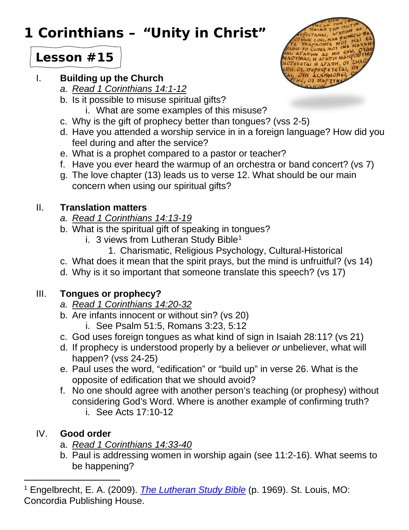# **1 Corinthians – "Unity in Christ"**

## **Lesson #15**

#### I. **Building up the Church**

- *a. Read 1 Corinthians 14:1-12*
- b. Is it possible to misuse spiritual gifts?
	- i. What are some examples of this misuse?
- c. Why is the gift of prophecy better than tongues? (vss 2-5)
- d. Have you attended a worship service in in a foreign language? How did you feel during and after the service?
- e. What is a prophet compared to a pastor or teacher?
- f. Have you ever heard the warmup of an orchestra or band concert? (vs 7)
- g. The love chapter (13) leads us to verse 12. What should be our main concern when using our spiritual gifts?

## II. **Translation matters**

- *a. Read 1 Corinthians 14:13-19*
- b. What is the spiritual gift of speaking in tongues?
	- i. 3 views from Lutheran Study Bible<sup>[1](#page-0-0)</sup>
		- 1. Charismatic, Religious Psychology, Cultural-Historical
- c. What does it mean that the spirit prays, but the mind is unfruitful? (vs 14)
- d. Why is it so important that someone translate this speech? (vs 17)

## III. **Tongues or prophecy?**

- *a. Read 1 Corinthians 14:20-32*
- b. Are infants innocent or without sin? (vs 20)
	- i. See Psalm 51:5, Romans 3:23, 5:12
- c. God uses foreign tongues as what kind of sign in Isaiah 28:11? (vs 21)
- d. If prophecy is understood properly by a believer *or* unbeliever, what will happen? (vss 24-25)
- e. Paul uses the word, "edification" or "build up" in verse 26. What is the opposite of edification that we should avoid?
- f. No one should agree with another person's teaching (or prophesy) without considering God's Word. Where is another example of confirming truth? i. See Acts 17:10-12

#### IV. **Good order**

- a. *Read 1 Corinthians 14:33-40*
- b. Paul is addressing women in worship again (see 11:2-16). What seems to be happening?

<span id="page-0-0"></span><sup>1</sup> Engelbrecht, E. A. (2009). *[The Lutheran Study Bible](https://ref.ly/logosres/lsbconcordia?ref=Page.p+1969&off=464&ctx=s.%0aCharismatic+View%0a%7EThis+approach+is+oft)* (p. 1969). St. Louis, MO: Concordia Publishing House.